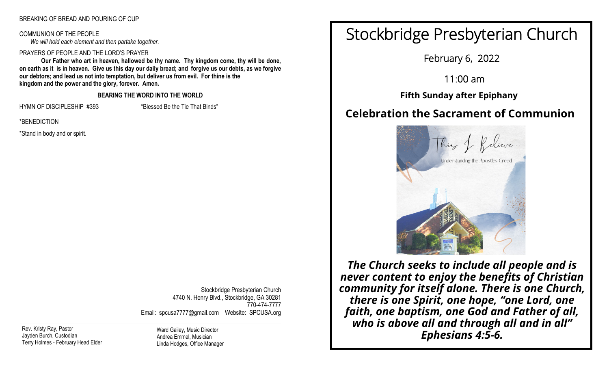#### BREAKING OF BREAD AND POURING OF CUP

COMMUNION OF THE PEOPLE *We will hold each element and then partake together.*

#### PRAYERS OF PEOPLE AND THE LORD'S PRAYER

**Our Father who art in heaven, hallowed be thy name. Thy kingdom come, thy will be done, on earth as it is in heaven. Give us this day our daily bread; and forgive us our debts, as we forgive our debtors; and lead us not into temptation, but deliver us from evil. For thine is the kingdom and the power and the glory, forever. Amen.**

#### **BEARING THE WORD INTO THE WORLD**

HYMN OF DISCIPLESHIP #393 "Blessed Be the Tie That Binds"

\*BENEDICTION

\*Stand in body and or spirit.

Stockbridge Presbyterian Church 4740 N. Henry Blvd., Stockbridge, GA 30281 770-474-7777 Email: spcusa7777@gmail.com Website: SPCUSA.org

Rev. Kristy Ray, Pastor Jayden Burch, Custodian Terry Holmes - February Head Elder

Ward Gailey, Music Director Andrea Emmel, Musician Linda Hodges, Office Manager

# Stockbridge Presbyterian Church

February 6, 2022

11:00 am

֘ **Fifth Sunday after Epiphany**

## **Celebration the Sacrament of Communion**



*The Church seeks to include all people and is never content to enjoy the benefits of Christian community for itself alone. There is one Church, there is one Spirit, one hope, "one Lord, one faith, one baptism, one God and Father of all, who is above all and through all and in all" Ephesians 4:5-6.*